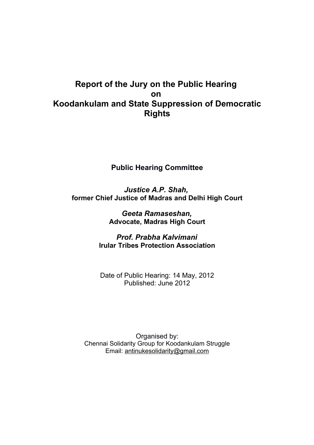# **Report of the Jury on the Public Hearing on Koodankulam and State Suppression of Democratic Rights**

## **Public Hearing Committee**

*Justice A.P. Shah,* **former Chief Justice of Madras and Delhi High Court**

> *Geeta Ramaseshan,* **Advocate, Madras High Court**

*Prof. Prabha Kalvimani* **Irular Tribes Protection Association**

Date of Public Hearing: 14 May, 2012 Published: June 2012

Organised by: Chennai Solidarity Group for Koodankulam Struggle Email: [antinukesolidarity@gmail.com](mailto:antinukesolidarity@gmail.com)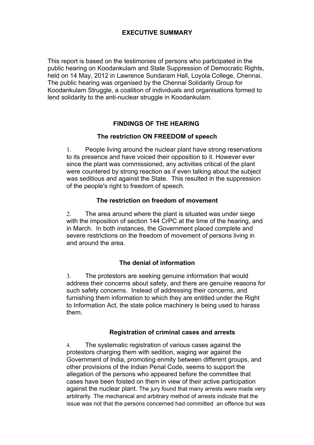### **EXECUTIVE SUMMARY**

This report is based on the testimonies of persons who participated in the public hearing on Koodankulam and State Suppression of Democratic Rights, held on 14 May, 2012 in Lawrence Sundaram Hall, Loyola College, Chennai. The public hearing was organised by the Chennai Solidarity Group for Koodankulam Struggle, a coalition of individuals and organisations formed to lend solidarity to the anti-nuclear struggle in Koodankulam.

### **FINDINGS OF THE HEARING**

### **The restriction ON FREEDOM of speech**

1. People living around the nuclear plant have strong reservations to its presence and have voiced their opposition to it. However ever since the plant was commissioned, any activities critical of the plant were countered by strong reaction as if even talking about the subject was seditious and against the State. This resulted in the suppression of the people's right to freedom of speech.

### **The restriction on freedom of movement**

2. The area around where the plant is situated was under siege with the imposition of section 144 CrPC at the time of the hearing, and in March. In both instances, the Government placed complete and severe restrictions on the freedom of movement of persons living in and around the area.

### **The denial of information**

3. The protestors are seeking genuine information that would address their concerns about safety, and there are genuine reasons for such safety concerns. Instead of addressing their concerns, and furnishing them information to which they are entitled under the Right to Information Act, the state police machinery is being used to harass them.

### **Registration of criminal cases and arrests**

4. The systematic registration of various cases against the protestors charging them with sedition, waging war against the Government of India, promoting enmity between different groups, and other provisions of the Indian Penal Code, seems to support the allegation of the persons who appeared before the committee that cases have been foisted on them in view of their active participation against the nuclear plant. The jury found that many arrests were made very arbitrarily. The mechanical and arbitrary method of arrests indicate that the issue was not that the persons concerned had committed an offence but was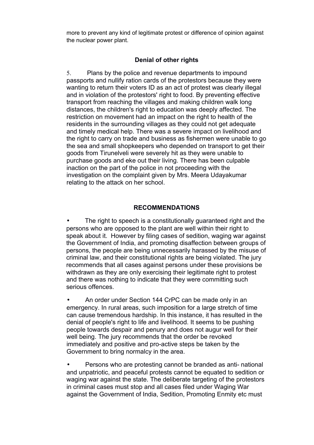more to prevent any kind of legitimate protest or difference of opinion against the nuclear power plant.

### **Denial of other rights**

5. Plans by the police and revenue departments to impound passports and nullify ration cards of the protestors because they were wanting to return their voters ID as an act of protest was clearly illegal and in violation of the protestors' right to food. By preventing effective transport from reaching the villages and making children walk long distances, the children's right to education was deeply affected. The restriction on movement had an impact on the right to health of the residents in the surrounding villages as they could not get adequate and timely medical help. There was a severe impact on livelihood and the right to carry on trade and business as fishermen were unable to go the sea and small shopkeepers who depended on transport to get their goods from Tirunelveli were severely hit as they were unable to purchase goods and eke out their living. There has been culpable inaction on the part of the police in not proceeding with the investigation on the complaint given by Mrs. Meera Udayakumar relating to the attack on her school.

### **RECOMMENDATIONS**

The right to speech is a constitutionally guaranteed right and the persons who are opposed to the plant are well within their right to speak about it. However by filing cases of sedition, waging war against the Government of India, and promoting disaffection between groups of persons, the people are being unnecessarily harassed by the misuse of criminal law, and their constitutional rights are being violated. The jury recommends that all cases against persons under these provisions be withdrawn as they are only exercising their legitimate right to protest and there was nothing to indicate that they were committing such serious offences.

• An order under Section 144 CrPC can be made only in an emergency. In rural areas, such imposition for a large stretch of time can cause tremendous hardship. In this instance, it has resulted in the denial of people's right to life and livelihood. It seems to be pushing people towards despair and penury and does not augur well for their well being. The jury recommends that the order be revoked immediately and positive and pro-active steps be taken by the Government to bring normalcy in the area.

• Persons who are protesting cannot be branded as anti- national and unpatriotic, and peaceful protests cannot be equated to sedition or waging war against the state. The deliberate targeting of the protestors in criminal cases must stop and all cases filed under Waging War against the Government of India, Sedition, Promoting Enmity etc must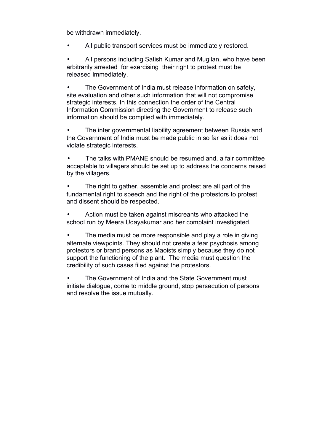be withdrawn immediately.

All public transport services must be immediately restored.

All persons including Satish Kumar and Mugilan, who have been arbitrarily arrested for exercising their right to protest must be released immediately.

• The Government of India must release information on safety, site evaluation and other such information that will not compromise strategic interests. In this connection the order of the Central Information Commission directing the Government to release such information should be complied with immediately.

The inter governmental liability agreement between Russia and the Government of India must be made public in so far as it does not violate strategic interests.

• The talks with PMANE should be resumed and, a fair committee acceptable to villagers should be set up to address the concerns raised by the villagers.

The right to gather, assemble and protest are all part of the fundamental right to speech and the right of the protestors to protest and dissent should be respected.

• Action must be taken against miscreants who attacked the school run by Meera Udayakumar and her complaint investigated.

The media must be more responsible and play a role in giving alternate viewpoints. They should not create a fear psychosis among protestors or brand persons as Maoists simply because they do not support the functioning of the plant. The media must question the credibility of such cases filed against the protestors.

The Government of India and the State Government must initiate dialogue, come to middle ground, stop persecution of persons and resolve the issue mutually.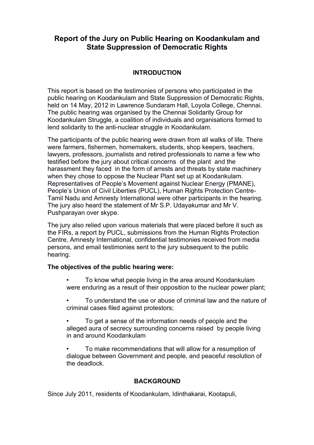## **Report of the Jury on Public Hearing on Koodankulam and State Suppression of Democratic Rights**

### **INTRODUCTION**

This report is based on the testimonies of persons who participated in the public hearing on Koodankulam and State Suppression of Democratic Rights, held on 14 May, 2012 in Lawrence Sundaram Hall, Loyola College, Chennai. The public hearing was organised by the Chennai Solidarity Group for Koodankulam Struggle, a coalition of individuals and organisations formed to lend solidarity to the anti-nuclear struggle in Koodankulam.

The participants of the public hearing were drawn from all walks of life. There were farmers, fishermen, homemakers, students, shop keepers, teachers, lawyers, professors, journalists and retired professionals to name a few who testified before the jury about critical concerns of the plant and the harassment they faced in the form of arrests and threats by state machinery when they chose to oppose the Nuclear Plant set up at Koodankulam. Representatives of People's Movement against Nuclear Energy (PMANE), People's Union of Civil Liberties (PUCL), Human Rights Protection Centre-Tamil Nadu and Amnesty International were other participants in the hearing. The jury also heard the statement of Mr S.P. Udayakumar and Mr V. Pushparayan over skype.

The jury also relied upon various materials that were placed before it such as the FIRs, a report by PUCL, submissions from the Human Rights Protection Centre, Amnesty International, confidential testimonies received from media persons, and email testimonies sent to the jury subsequent to the public hearing.

### **The objectives of the public hearing were:**

- To know what people living in the area around Koodankulam were enduring as a result of their opposition to the nuclear power plant;
- To understand the use or abuse of criminal law and the nature of criminal cases filed against protestors;
- To get a sense of the information needs of people and the alleged aura of secrecy surrounding concerns raised by people living in and around Koodankulam
- To make recommendations that will allow for a resumption of dialogue between Government and people, and peaceful resolution of the deadlock.

### **BACKGROUND**

Since July 2011, residents of Koodankulam, Idinthakarai, Kootapuli,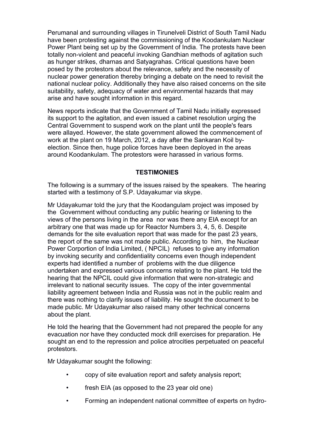Perumanal and surrounding villages in Tirunelveli District of South Tamil Nadu have been protesting against the commissioning of the Koodankulam Nuclear Power Plant being set up by the Government of India. The protests have been totally non-violent and peaceful invoking Gandhian methods of agitation such as hunger strikes, dharnas and Satyagrahas. Critical questions have been posed by the protestors about the relevance, safety and the necessity of nuclear power generation thereby bringing a debate on the need to revisit the national nuclear policy. Additionally they have also raised concerns on the site suitability, safety, adequacy of water and environmental hazards that may arise and have sought information in this regard.

News reports indicate that the Government of Tamil Nadu initially expressed its support to the agitation, and even issued a cabinet resolution urging the Central Government to suspend work on the plant until the people's fears were allayed. However, the state government allowed the commencement of work at the plant on 19 March, 2012, a day after the Sankaran Koil byelection. Since then, huge police forces have been deployed in the areas around Koodankulam. The protestors were harassed in various forms.

### **TESTIMONIES**

The following is a summary of the issues raised by the speakers. The hearing started with a testimony of S.P. Udayakumar via skype.

Mr Udayakumar told the jury that the Koodangulam project was imposed by the Government without conducting any public hearing or listening to the views of the persons living in the area nor was there any EIA except for an arbitrary one that was made up for Reactor Numbers 3, 4, 5, 6. Despite demands for the site evaluation report that was made for the past 23 years, the report of the same was not made public. According to him, the Nuclear Power Corportion of India Limited, ( NPCIL) refuses to give any information by invoking security and confidentiality concerns even though independent experts had identified a number of problems with the due diligence undertaken and expressed various concerns relating to the plant. He told the hearing that the NPCIL could give information that were non-strategic and irrelevant to national security issues. The copy of the inter governmental liability agreement between India and Russia was not in the public realm and there was nothing to clarify issues of liability. He sought the document to be made public. Mr Udayakumar also raised many other technical concerns about the plant.

He told the hearing that the Government had not prepared the people for any evacuation nor have they conducted mock drill exercises for preparation. He sought an end to the repression and police atrocities perpetuated on peaceful protestors.

Mr Udayakumar sought the following:

- copy of site evaluation report and safety analysis report;
- fresh EIA (as opposed to the 23 year old one)
- Forming an independent national committee of experts on hydro-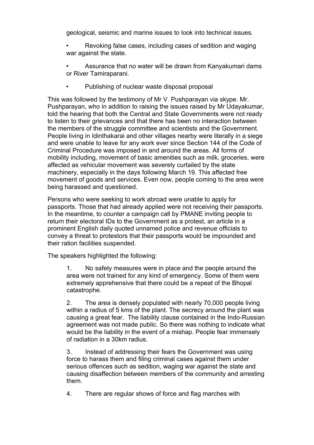geological, seismic and marine issues to look into technical issues.

- Revoking false cases, including cases of sedition and waging war against the state.
- Assurance that no water will be drawn from Kanyakumari dams or River Tamiraparani.
- Publishing of nuclear waste disposal proposal

This was followed by the testimony of Mr V. Pushparayan via skype. Mr. Pushparayan, who in addition to raising the issues raised by Mr Udayakumar, told the hearing that both the Central and State Governments were not ready to listen to their grievances and that there has been no interaction between the members of the struggle committee and scientists and the Government. People living in Idinthakarai and other villages nearby were literally in a siege and were unable to leave for any work ever since Section 144 of the Code of Criminal Procedure was imposed in and around the areas. All forms of mobility including, movement of basic amenities such as milk, groceries, were affected as vehicular movement was severely curtailed by the state machinery, especially in the days following March 19. This affected free movement of goods and services. Even now, people coming to the area were being harassed and questioned.

Persons who were seeking to work abroad were unable to apply for passports. Those that had already applied were not receiving their passports. In the meantime, to counter a campaign call by PMANE inviting people to return their electoral IDs to the Government as a protest, an article in a prominent English daily quoted unnamed police and revenue officials to convey a threat to protestors that their passports would be impounded and their ration facilities suspended.

The speakers highlighted the following:

1. No safety measures were in place and the people around the area were not trained for any kind of emergency. Some of them were extremely apprehensive that there could be a repeat of the Bhopal catastrophe.

2. The area is densely populated with nearly 70,000 people living within a radius of 5 kms of the plant. The secrecy around the plant was causing a great fear. The liability clause contained in the Indo-Russian agreement was not made public. So there was nothing to indicate what would be the liability in the event of a mishap. People fear immensely of radiation in a 30km radius.

3. Instead of addressing their fears the Government was using force to harass them and filing criminal cases against them under serious offences such as sedition, waging war against the state and causing disaffection between members of the community and arresting them.

4. There are regular shows of force and flag marches with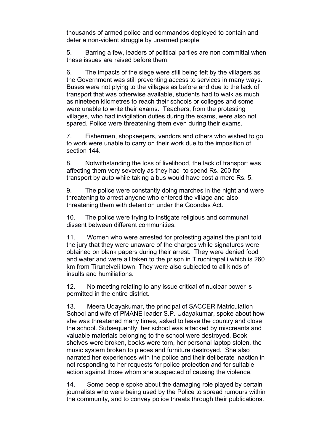thousands of armed police and commandos deployed to contain and deter a non-violent struggle by unarmed people.

5. Barring a few, leaders of political parties are non committal when these issues are raised before them.

6. The impacts of the siege were still being felt by the villagers as the Government was still preventing access to services in many ways. Buses were not plying to the villages as before and due to the lack of transport that was otherwise available, students had to walk as much as nineteen kilometres to reach their schools or colleges and some were unable to write their exams. Teachers, from the protesting villages, who had invigilation duties during the exams, were also not spared. Police were threatening them even during their exams.

7. Fishermen, shopkeepers, vendors and others who wished to go to work were unable to carry on their work due to the imposition of section 144.

8. Notwithstanding the loss of livelihood, the lack of transport was affecting them very severely as they had to spend Rs. 200 for transport by auto while taking a bus would have cost a mere Rs. 5.

9. The police were constantly doing marches in the night and were threatening to arrest anyone who entered the village and also threatening them with detention under the Goondas Act.

10. The police were trying to instigate religious and communal dissent between different communities.

11. Women who were arrested for protesting against the plant told the jury that they were unaware of the charges while signatures were obtained on blank papers during their arrest. They were denied food and water and were all taken to the prison in Tiruchirapalli which is 260 km from Tirunelveli town. They were also subjected to all kinds of insults and humiliations.

12. No meeting relating to any issue critical of nuclear power is permitted in the entire district.

13. Meera Udayakumar, the principal of SACCER Matriculation School and wife of PMANE leader S.P. Udayakumar, spoke about how she was threatened many times, asked to leave the country and close the school. Subsequently, her school was attacked by miscreants and valuable materials belonging to the school were destroyed. Book shelves were broken, books were torn, her personal laptop stolen, the music system broken to pieces and furniture destroyed. She also narrated her experiences with the police and their deliberate inaction in not responding to her requests for police protection and for suitable action against those whom she suspected of causing the violence.

14. Some people spoke about the damaging role played by certain journalists who were being used by the Police to spread rumours within the community, and to convey police threats through their publications.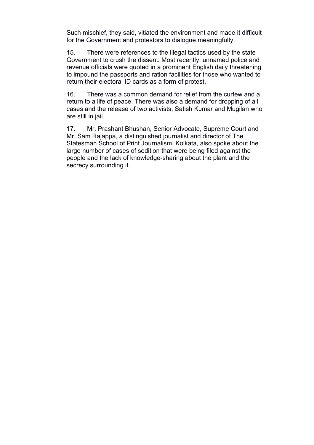Such mischief, they said, vitiated the environment and made it difficult for the Government and protestors to dialogue meaningfully.

15. There were references to the illegal tactics used by the state Government to crush the dissent. Most recently, unnamed police and revenue officials were quoted in a prominent English daily threatening to impound the passports and ration facilities for those who wanted to return their electoral ID cards as a form of protest.

16. There was a common demand for relief from the curfew and a return to a life of peace. There was also a demand for dropping of all cases and the release of two activists, Satish Kumar and Mugilan who are still in jail.

17. Mr. Prashant Bhushan, Senior Advocate, Supreme Court and Mr. Sam Rajappa, a distinguished journalist and director of The Statesman School of Print Journalism, Kolkata, also spoke about the large number of cases of sedition that were being filed against the people and the lack of knowledge-sharing about the plant and the secrecy surrounding it.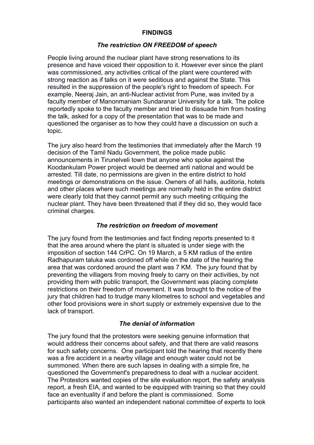### **FINDINGS**

#### *The restriction ON FREEDOM of speech*

People living around the nuclear plant have strong reservations to its presence and have voiced their opposition to it. However ever since the plant was commissioned, any activities critical of the plant were countered with strong reaction as if talks on it were seditious and against the State. This resulted in the suppression of the people's right to freedom of speech. For example, Neeraj Jain, an anti-Nuclear activist from Pune, was invited by a faculty member of Manonmaniam Sundaranar University for a talk. The police reportedly spoke to the faculty member and tried to dissuade him from hosting the talk, asked for a copy of the presentation that was to be made and questioned the organiser as to how they could have a discussion on such a topic.

The jury also heard from the testimonies that immediately after the March 19 decision of the Tamil Nadu Government, the police made public announcements in Tirunelveli town that anyone who spoke against the Koodankulam Power project would be deemed anti national and would be arrested. Till date, no permissions are given in the entire district to hold meetings or demonstrations on the issue. Owners of all halls, auditoria, hotels and other places where such meetings are normally held in the entire district were clearly told that they cannot permit any such meeting critiquing the nuclear plant. They have been threatened that if they did so, they would face criminal charges.

#### *The restriction on freedom of movement*

The jury found from the testimonies and fact finding reports presented to it that the area around where the plant is situated is under siege with the imposition of section 144 CrPC. On 19 March, a 5 KM radius of the entire Radhapuram taluka was cordoned off while on the date of the hearing the area that was cordoned around the plant was 7 KM. The jury found that by preventing the villagers from moving freely to carry on their activities, by not providing them with public transport, the Government was placing complete restrictions on their freedom of movement. It was brought to the notice of the jury that children had to trudge many kilometres to school and vegetables and other food provisions were in short supply or extremely expensive due to the lack of transport.

#### *The denial of information*

The jury found that the protestors were seeking genuine information that would address their concerns about safety, and that there are valid reasons for such safety concerns. One participant told the hearing that recently there was a fire accident in a nearby village and enough water could not be summoned. When there are such lapses in dealing with a simple fire, he questioned the Government's preparedness to deal with a nuclear accident. The Protestors wanted copies of the site evaluation report, the safety analysis report, a fresh EIA, and wanted to be equipped with training so that they could face an eventuality if and before the plant is commissioned. Some participants also wanted an independent national committee of experts to look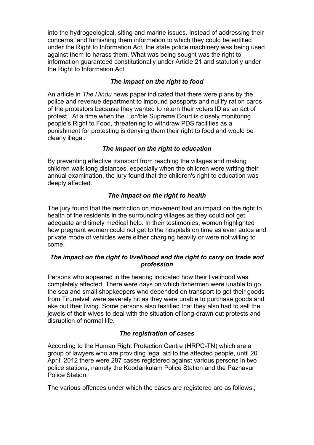into the hydrogeological, siting and marine issues. Instead of addressing their concerns, and furnishing them information to which they could be entitled under the Right to Information Act, the state police machinery was being used against them to harass them. What was being sought was the right to information guaranteed constitutionally under Article 21 and statutorily under the Right to Information Act.

### *The impact on the right to food*

An article in *The Hindu* news paper indicated that there were plans by the police and revenue department to impound passports and nullify ration cards of the protestors because they wanted to return their voters ID as an act of protest. At a time when the Hon'ble Supreme Court is closely monitoring people's Right to Food, threatening to withdraw PDS facilities as a punishment for protesting is denying them their right to food and would be clearly illegal.

### *The impact on the right to education*

By preventing effective transport from reaching the villages and making children walk long distances, especially when the children were writing their annual examination, the jury found that the children's right to education was deeply affected.

### *The impact on the right to health*

The jury found that the restriction on movement had an impact on the right to health of the residents in the surrounding villages as they could not get adequate and timely medical help. In their testimonies, women highlighted how pregnant women could not get to the hospitals on time as even autos and private mode of vehicles were either charging heavily or were not willing to come.

### *The impact on the right to livelihood and the right to carry on trade and profession*

Persons who appeared in the hearing indicated how their livelihood was completely affected. There were days on which fishermen were unable to go the sea and small shopkeepers who depended on transport to get their goods from Tirunelveli were severely hit as they were unable to purchase goods and eke out their living. Some persons also testified that they also had to sell the jewels of their wives to deal with the situation of long-drawn out protests and disruption of normal life.

### *The registration of cases*

According to the Human Right Protection Centre (HRPC-TN) which are a group of lawyers who are providing legal aid to the affected people, until 20 April, 2012 there were 287 cases registered against various persons in two police stations, namely the Koodankulam Police Station and the Pazhavur Police Station.

The various offences under which the cases are registered are as follows:;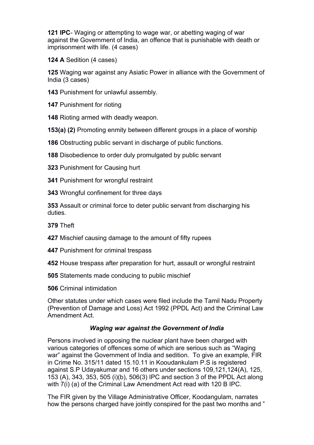**121 IPC**- Waging or attempting to wage war, or abetting waging of war against the Government of India, an offence that is punishable with death or imprisonment with life. (4 cases)

**124 A** Sedition (4 cases)

**125** Waging war against any Asiatic Power in alliance with the Government of India (3 cases)

**143** Punishment for unlawful assembly.

**147** Punishment for rioting

**148** Rioting armed with deadly weapon.

**153(a) (2)** Promoting enmity between different groups in a place of worship

**186** Obstructing public servant in discharge of public functions.

**188** Disobedience to order duly promulgated by public servant

**323** Punishment for Causing hurt

**341** Punishment for wrongful restraint

**343** Wrongful confinement for three days

**353** Assault or criminal force to deter public servant from discharging his duties.

**379** Theft

**427** Mischief causing damage to the amount of fifty rupees

**447** Punishment for criminal trespass

**452** House trespass after preparation for hurt, assault or wrongful restraint

**505** Statements made conducing to public mischief

**506** Criminal intimidation

Other statutes under which cases were filed include the Tamil Nadu Property (Prevention of Damage and Loss) Act 1992 (PPDL Act) and the Criminal Law Amendment Act.

### *Waging war against the Government of India*

Persons involved in opposing the nuclear plant have been charged with various categories of offences some of which are serious such as "Waging war" against the Government of India and sedition. To give an example, FIR in Crime No. 315/11 dated 15.10.11 in Kooudankulam P.S is registered against S.P Udayakumar and 16 others under sections 109,121,124(A), 125, 153 (A), 343, 353, 505 (i)(b), 506(3) IPC and section 3 of the PPDL Act along with 7(i) (a) of the Criminal Law Amendment Act read with 120 B IPC.

The FIR given by the Village Administrative Officer, Koodangulam, narrates how the persons charged have jointly conspired for the past two months and "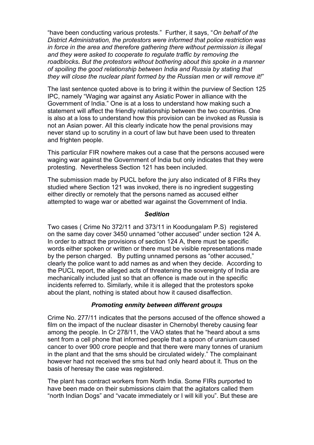"have been conducting various protests." Further, it says, "*On behalf of the District Administration, the protestors were informed that police restriction was in force in the area and therefore gathering there without permission is illegal and they were asked to cooperate to regulate traffic by removing the roadblocks. But the protestors without bothering about this spoke in a manner of spoiling the good relationship between India and Russia by stating that they will close the nuclear plant formed by the Russian men or will remove it!*"

The last sentence quoted above is to bring it within the purview of Section 125 IPC, namely "Waging war against any Asiatic Power in alliance with the Government of India." One is at a loss to understand how making such a statement will affect the friendly relationship between the two countries. One is also at a loss to understand how this provision can be invoked as Russia is not an Asian power. All this clearly indicate how the penal provisions may never stand up to scrutiny in a court of law but have been used to threaten and frighten people.

This particular FIR nowhere makes out a case that the persons accused were waging war against the Government of India but only indicates that they were protesting. Nevertheless Section 121 has been included.

The submission made by PUCL before the jury also indicated of 8 FIRs they studied where Section 121 was invoked, there is no ingredient suggesting either directly or remotely that the persons named as accused either attempted to wage war or abetted war against the Government of India.

#### *Sedition*

Two cases ( Crime No 372/11 and 373/11 in Koodungalam P.S) registered on the same day cover 3450 unnamed "other accused" under section 124 A. In order to attract the provisions of section 124 A, there must be specific words either spoken or written or there must be visible representations made by the person charged. By putting unnamed persons as "other accused," clearly the police want to add names as and when they decide. According to the PUCL report, the alleged acts of threatening the sovereignty of India are mechanically included just so that an offence is made out in the specific incidents referred to. Similarly, while it is alleged that the protestors spoke about the plant, nothing is stated about how it caused disaffection.

#### *Promoting enmity between different groups*

Crime No. 277/11 indicates that the persons accused of the offence showed a film on the impact of the nuclear disaster in Chernobyl thereby causing fear among the people. In Cr 278/11, the VAO states that he "heard about a sms sent from a cell phone that informed people that a spoon of uranium caused cancer to over 900 crore people and that there were many tonnes of uranium in the plant and that the sms should be circulated widely." The complainant however had not received the sms but had only heard about it. Thus on the basis of heresay the case was registered.

The plant has contract workers from North India. Some FIRs purported to have been made on their submissions claim that the agitators called them "north Indian Dogs" and "vacate immediately or I will kill you". But these are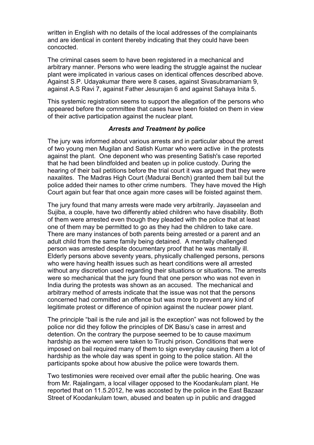written in English with no details of the local addresses of the complainants and are identical in content thereby indicating that they could have been concocted.

The criminal cases seem to have been registered in a mechanical and arbitrary manner. Persons who were leading the struggle against the nuclear plant were implicated in various cases on identical offences described above. Against S.P. Udayakumar there were 8 cases, against Sivasubramaniam 9, against A.S Ravi 7, against Father Jesurajan 6 and against Sahaya Inita 5.

This systemic registration seems to support the allegation of the persons who appeared before the committee that cases have been foisted on them in view of their active participation against the nuclear plant.

### *Arrests and Treatment by police*

The jury was informed about various arrests and in particular about the arrest of two young men Mugilan and Satish Kumar who were active in the protests against the plant. One deponent who was presenting Satish's case reported that he had been blindfolded and beaten up in police custody. During the hearing of their bail petitions before the trial court it was argued that they were naxalites. The Madras High Court (Madurai Bench) granted them bail but the police added their names to other crime numbers. They have moved the High Court again but fear that once again more cases will be foisted against them.

The jury found that many arrests were made very arbitrarily. Jayaseelan and Sujiba, a couple, have two differently abled children who have disability. Both of them were arrested even though they pleaded with the police that at least one of them may be permitted to go as they had the children to take care. There are many instances of both parents being arrested or a parent and an adult child from the same family being detained. A mentally challenged person was arrested despite documentary proof that he was mentally ill. Elderly persons above seventy years, physically challenged persons, persons who were having health issues such as heart conditions were all arrested without any discretion used regarding their situations or situations. The arrests were so mechanical that the jury found that one person who was not even in India during the protests was shown as an accused. The mechanical and arbitrary method of arrests indicate that the issue was not that the persons concerned had committed an offence but was more to prevent any kind of legitimate protest or difference of opinion against the nuclear power plant.

The principle "bail is the rule and jail is the exception" was not followed by the police nor did they follow the principles of DK Basu's case in arrest and detention. On the contrary the purpose seemed to be to cause maximum hardship as the women were taken to Tiruchi prison. Conditions that were imposed on bail required many of them to sign everyday causing them a lot of hardship as the whole day was spent in going to the police station. All the participants spoke about how abusive the police were towards them.

Two testimonies were received over email after the public hearing. One was from Mr. Rajalingam, a local villager opposed to the Koodankulam plant. He reported that on 11.5.2012, he was accosted by the police in the East Bazaar Street of Koodankulam town, abused and beaten up in public and dragged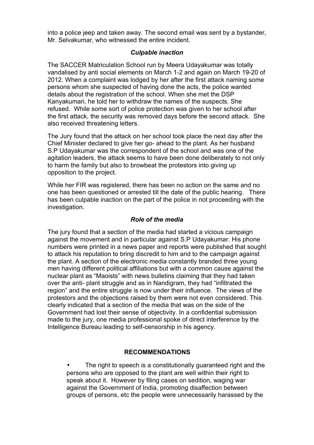into a police jeep and taken away. The second email was sent by a bystander, Mr. Selvakumar, who witnessed the entire incident.

### *Culpable inaction*

The SACCER Matriculation School run by Meera Udayakumar was totally vandalised by anti social elements on March 1-2 and again on March 19-20 of 2012. When a complaint was lodged by her after the first attack naming some persons whom she suspected of having done the acts, the police wanted details about the registration of the school. When she met the DSP Kanyakumari, he told her to withdraw the names of the suspects. She refused. While some sort of police protection was given to her school after the first attack, the security was removed days before the second attack. She also received threatening letters.

The Jury found that the attack on her school took place the next day after the Chief Minister declared to give her go- ahead to the plant. As her husband S.P Udayakumar was the correspondent of the school and was one of the agitation leaders, the attack seems to have been done deliberately to not only to harm the family but also to browbeat the protestors into giving up opposition to the project.

While her FIR was registered, there has been no action on the same and no one has been questioned or arrested till the date of the public hearing. There has been culpable inaction on the part of the police in not proceeding with the investigation.

#### *Role of the media*

The jury found that a section of the media had started a vicious campaign against the movement and in particular against S.P Udayakumar. His phone numbers were printed in a news paper and reports were published that sought to attack his reputation to bring discredit to him and to the campaign against the plant. A section of the electronic media constantly branded three young men having different political affiliations but with a common cause against the nuclear plant as "Maoists" with news bulletins claiming that they had taken over the anti- plant struggle and as in Nandigram, they had "infiltrated the region" and the entire struggle is now under their influence. The views of the protestors and the objections raised by them were not even considered. This clearly indicated that a section of the media that was on the side of the Government had lost their sense of objectivity. In a confidential submission made to the jury, one media professional spoke of direct interference by the Intelligence Bureau leading to self-censorship in his agency.

#### **RECOMMENDATIONS**

The right to speech is a constitutionally guaranteed right and the persons who are opposed to the plant are well within their right to speak about it. However by filing cases on sedition, waging war against the Government of India, promoting disaffection between groups of persons, etc the people were unnecessarily harassed by the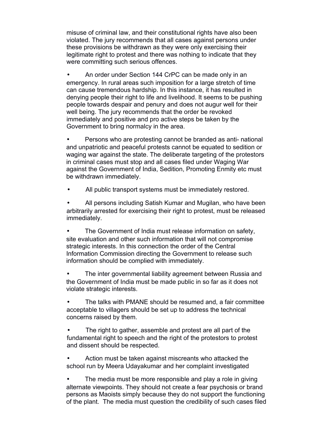misuse of criminal law, and their constitutional rights have also been violated. The jury recommends that all cases against persons under these provisions be withdrawn as they were only exercising their legitimate right to protest and there was nothing to indicate that they were committing such serious offences.

• An order under Section 144 CrPC can be made only in an emergency. In rural areas such imposition for a large stretch of time can cause tremendous hardship. In this instance, it has resulted in denying people their right to life and livelihood. It seems to be pushing people towards despair and penury and does not augur well for their well being. The jury recommends that the order be revoked immediately and positive and pro active steps be taken by the Government to bring normalcy in the area.

• Persons who are protesting cannot be branded as anti- national and unpatriotic and peaceful protests cannot be equated to sedition or waging war against the state. The deliberate targeting of the protestors in criminal cases must stop and all cases filed under Waging War against the Government of India, Sedition, Promoting Enmity etc must be withdrawn immediately.

All public transport systems must be immediately restored.

All persons including Satish Kumar and Mugilan, who have been arbitrarily arrested for exercising their right to protest, must be released immediately.

• The Government of India must release information on safety, site evaluation and other such information that will not compromise strategic interests. In this connection the order of the Central Information Commission directing the Government to release such information should be complied with immediately.

The inter governmental liability agreement between Russia and the Government of India must be made public in so far as it does not violate strategic interests.

• The talks with PMANE should be resumed and, a fair committee acceptable to villagers should be set up to address the technical concerns raised by them.

The right to gather, assemble and protest are all part of the fundamental right to speech and the right of the protestors to protest and dissent should be respected.

• Action must be taken against miscreants who attacked the school run by Meera Udayakumar and her complaint investigated

The media must be more responsible and play a role in giving alternate viewpoints. They should not create a fear psychosis or brand persons as Maoists simply because they do not support the functioning of the plant. The media must question the credibility of such cases filed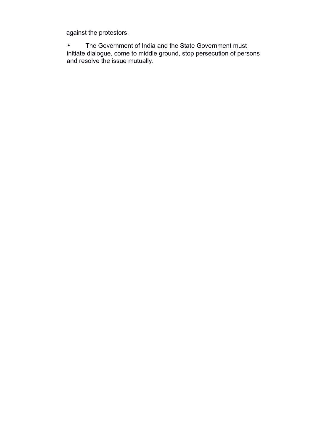against the protestors.

• The Government of India and the State Government must initiate dialogue, come to middle ground, stop persecution of persons and resolve the issue mutually.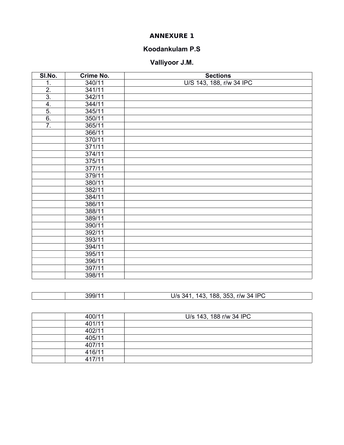### **ANNEXURE 1**

### **Koodankulam P.S**

# **Valliyoor J.M.**

| SI.No.           | Crime No. | <b>Sections</b>          |  |
|------------------|-----------|--------------------------|--|
| 1.               | 340/11    | U/S 143, 188, r/w 34 IPC |  |
| $\overline{2}$ . | 341/11    |                          |  |
| $\overline{3}$ . | 342/11    |                          |  |
| $\overline{4}$ . | 344/11    |                          |  |
| $\overline{5}$ . | 345/11    |                          |  |
| $\overline{6}$ . | 350/11    |                          |  |
| $\overline{7}$ . | 365/11    |                          |  |
|                  | 366/11    |                          |  |
|                  | 370/11    |                          |  |
|                  | 371/11    |                          |  |
|                  | 374/11    |                          |  |
|                  | 375/11    |                          |  |
|                  | 377/11    |                          |  |
|                  | 379/11    |                          |  |
|                  | 380/11    |                          |  |
|                  | 382/11    |                          |  |
|                  | 384/11    |                          |  |
|                  | 386/11    |                          |  |
|                  | 388/11    |                          |  |
|                  | 389/11    |                          |  |
|                  | 390/11    |                          |  |
|                  | 392/11    |                          |  |
|                  | 393/11    |                          |  |
|                  | 394/11    |                          |  |
|                  | 395/11    |                          |  |
|                  | 396/11    |                          |  |
|                  | 397/11    |                          |  |
|                  | 398/11    |                          |  |

| 399/1 | 34 IPC<br>353<br>188<br>J/s<br>r/w<br>14″.<br>143<br>◡ |
|-------|--------------------------------------------------------|

| 400/11 | U/s 143, 188 r/w 34 IPC |
|--------|-------------------------|
| 401/11 |                         |
| 402/11 |                         |
| 405/11 |                         |
| 407/11 |                         |
| 416/11 |                         |
| 417/11 |                         |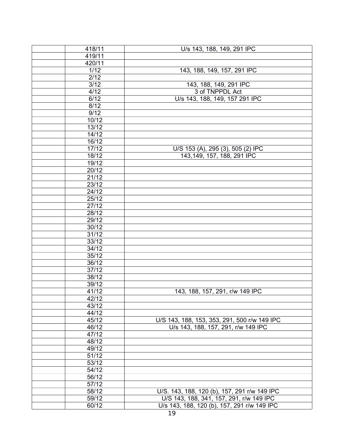| 418/11 | U/s 143, 188, 149, 291 IPC                   |  |
|--------|----------------------------------------------|--|
| 419/11 |                                              |  |
| 420/11 |                                              |  |
| $1/12$ | 143, 188, 149, 157, 291 IPC                  |  |
| 2/12   |                                              |  |
| 3/12   | 143, 188, 149, 291 IPC                       |  |
| 4/12   | 3 of TNPPDL Act                              |  |
| 6/12   | U/s 143, 188, 149, 157 291 IPC               |  |
| 8/12   |                                              |  |
| 9/12   |                                              |  |
| 10/12  |                                              |  |
| 13/12  |                                              |  |
| 14/12  |                                              |  |
| 16/12  |                                              |  |
| 17/12  | U/S 153 (A), 295 (3), 505 (2) IPC            |  |
| 18/12  | 143,149, 157, 188, 291 IPC                   |  |
| 19/12  |                                              |  |
| 20/12  |                                              |  |
| 21/12  |                                              |  |
| 23/12  |                                              |  |
| 24/12  |                                              |  |
| 25/12  |                                              |  |
| 27/12  |                                              |  |
| 28/12  |                                              |  |
| 29/12  |                                              |  |
| 30/12  |                                              |  |
| 31/12  |                                              |  |
| 33/12  |                                              |  |
| 34/12  |                                              |  |
| 35/12  |                                              |  |
| 36/12  |                                              |  |
| 37/12  |                                              |  |
| 38/12  |                                              |  |
| 39/12  |                                              |  |
| 41/12  | 143, 188, 157, 291, r/w 149 IPC              |  |
| 42/12  |                                              |  |
| 43/12  |                                              |  |
| 44/12  |                                              |  |
| 45/12  | U/S 143, 188, 153, 353, 291, 500 r/w 149 IPC |  |
| 46/12  | U/s 143, 188, 157, 291, r/w 149 IPC          |  |
| 47/12  |                                              |  |
| 48/12  |                                              |  |
| 49/12  |                                              |  |
| 51/12  |                                              |  |
| 53/12  |                                              |  |
| 54/12  |                                              |  |
| 56/12  |                                              |  |
| 57/12  |                                              |  |
| 58/12  | U/S. 143, 188, 120 (b), 157, 291 r/w 149 IPC |  |
| 59/12  | U/S 143, 188, 341, 157, 291, r/w 149 IPC     |  |
| 60/12  | U/s 143, 188, 120 (b), 157, 291 r/w 149 IPC  |  |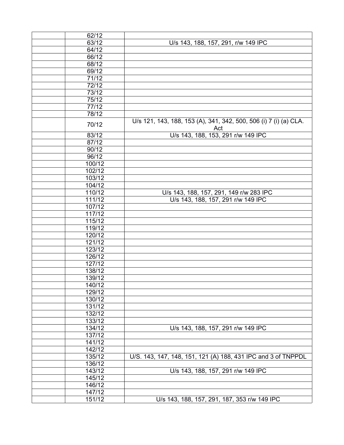| 62/12               |                                                                          |  |
|---------------------|--------------------------------------------------------------------------|--|
| 63/12               | U/s 143, 188, 157, 291, r/w 149 IPC                                      |  |
| 64/12               |                                                                          |  |
| 66/12               |                                                                          |  |
| 68/12               |                                                                          |  |
| 69/12               |                                                                          |  |
| 71/12               |                                                                          |  |
| 72/12               |                                                                          |  |
| 73/12               |                                                                          |  |
| 75/12               |                                                                          |  |
| 77/12               |                                                                          |  |
| 78/12               |                                                                          |  |
| 70/12               | U/s 121, 143, 188, 153 (A), 341, 342, 500, 506 (i) 7 (i) (a) CLA.<br>Act |  |
| 83/12               | U/s 143, 188, 153, 291 r/w 149 IPC                                       |  |
| 87/12               |                                                                          |  |
| 90/12               |                                                                          |  |
| 96/12               |                                                                          |  |
| 100/12              |                                                                          |  |
| 102/12              |                                                                          |  |
| 103/12              |                                                                          |  |
| 104/12              |                                                                          |  |
| 110/12              | U/s 143, 188, 157, 291, 149 r/w 283 IPC                                  |  |
| 111/12              | U/s 143, 188, 157, 291 r/w 149 IPC                                       |  |
| 107/12              |                                                                          |  |
| 117/12              |                                                                          |  |
| 115/12              |                                                                          |  |
| 119/12              |                                                                          |  |
| 120/12              |                                                                          |  |
| 121/12              |                                                                          |  |
| 123/12              |                                                                          |  |
| 126/12              |                                                                          |  |
| 127/12              |                                                                          |  |
| 138/12              |                                                                          |  |
| 139/12              |                                                                          |  |
| 140/12              |                                                                          |  |
| 129/12              |                                                                          |  |
| 130/12              |                                                                          |  |
| 131/12              |                                                                          |  |
| 132/12              |                                                                          |  |
| 133/12              |                                                                          |  |
| 134/12              | U/s 143, 188, 157, 291 r/w 149 IPC                                       |  |
| 137/12              |                                                                          |  |
| 141/12              |                                                                          |  |
| 142/12              |                                                                          |  |
| 135/12              | U/S. 143, 147, 148, 151, 121 (A) 188, 431 IPC and 3 of TNPPDL            |  |
| 136/12              |                                                                          |  |
| 143/12              | U/s 143, 188, 157, 291 r/w 149 IPC                                       |  |
| 145/12              |                                                                          |  |
| 146/12              |                                                                          |  |
| $\overline{1}47/12$ |                                                                          |  |
| 151/12              | U/s 143, 188, 157, 291, 187, 353 r/w 149 IPC                             |  |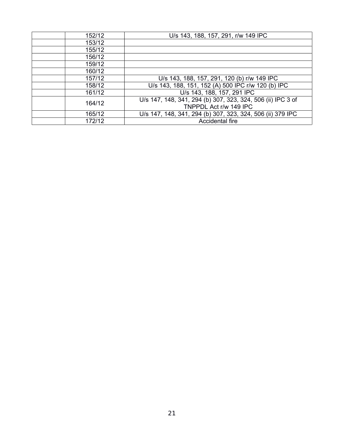| 152/12 | U/s 143, 188, 157, 291, r/w 149 IPC                         |  |
|--------|-------------------------------------------------------------|--|
| 153/12 |                                                             |  |
| 155/12 |                                                             |  |
| 156/12 |                                                             |  |
| 159/12 |                                                             |  |
| 160/12 |                                                             |  |
| 157/12 | U/s 143, 188, 157, 291, 120 (b) r/w 149 IPC                 |  |
| 158/12 | U/s 143, 188, 151, 152 (A) 500 IPC r/w 120 (b) IPC          |  |
| 161/12 | U/s 143, 188, 157, 291 IPC                                  |  |
| 164/12 | U/s 147, 148, 341, 294 (b) 307, 323, 324, 506 (ii) IPC 3 of |  |
|        | TNPPDL Act r/w 149 IPC                                      |  |
| 165/12 | U/s 147, 148, 341, 294 (b) 307, 323, 324, 506 (ii) 379 IPC  |  |
| 172/12 | Accidental fire                                             |  |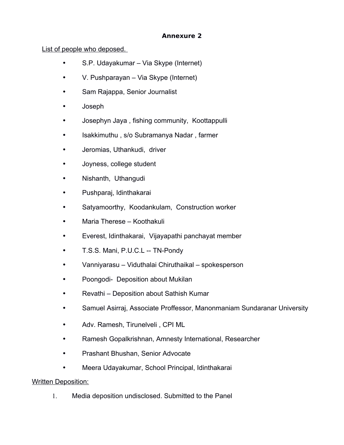### **Annexure 2**

### List of people who deposed.

- S.P. Udayakumar Via Skype (Internet)
- V. Pushparayan Via Skype (Internet)
- Sam Rajappa, Senior Journalist
- Joseph
- Josephyn Jaya , fishing community, Koottappulli
- Isakkimuthu , s/o Subramanya Nadar , farmer
- Jeromias, Uthankudi, driver
- Joyness, college student
- Nishanth, Uthangudi
- Pushparaj, Idinthakarai
- Satyamoorthy, Koodankulam, Construction worker
- Maria Therese Koothakuli
- Everest, Idinthakarai, Vijayapathi panchayat member
- T.S.S. Mani, P.U.C.L -- TN-Pondy
- Vanniyarasu Viduthalai Chiruthaikal spokesperson
- Poongodi- Deposition about Mukilan
- Revathi Deposition about Sathish Kumar
- Samuel Asirraj, Associate Proffessor, Manonmaniam Sundaranar University
- Adv. Ramesh, Tirunelveli , CPI ML
- Ramesh Gopalkrishnan, Amnesty International, Researcher
- Prashant Bhushan, Senior Advocate
- Meera Udayakumar, School Principal, Idinthakarai

### Written Deposition:

1. Media deposition undisclosed. Submitted to the Panel